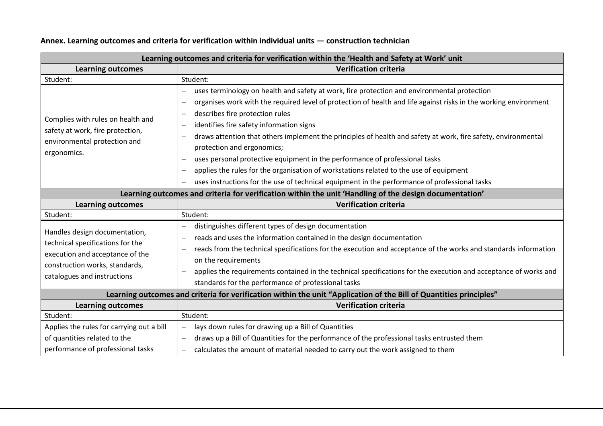| Learning outcomes and criteria for verification within the 'Health and Safety at Work' unit                                                                           |                                                                                                                                                                                                                                                                                                                                                                                                                                                                                                                                                                                                                                                                                                                                                                                                                                  |  |
|-----------------------------------------------------------------------------------------------------------------------------------------------------------------------|----------------------------------------------------------------------------------------------------------------------------------------------------------------------------------------------------------------------------------------------------------------------------------------------------------------------------------------------------------------------------------------------------------------------------------------------------------------------------------------------------------------------------------------------------------------------------------------------------------------------------------------------------------------------------------------------------------------------------------------------------------------------------------------------------------------------------------|--|
| <b>Learning outcomes</b>                                                                                                                                              | <b>Verification criteria</b>                                                                                                                                                                                                                                                                                                                                                                                                                                                                                                                                                                                                                                                                                                                                                                                                     |  |
| Student:                                                                                                                                                              | Student:                                                                                                                                                                                                                                                                                                                                                                                                                                                                                                                                                                                                                                                                                                                                                                                                                         |  |
| Complies with rules on health and<br>safety at work, fire protection,<br>environmental protection and<br>ergonomics.                                                  | uses terminology on health and safety at work, fire protection and environmental protection<br>organises work with the required level of protection of health and life against risks in the working environment<br>$\overline{\phantom{0}}$<br>describes fire protection rules<br>$\overline{\phantom{0}}$<br>identifies fire safety information signs<br>$\qquad \qquad -$<br>draws attention that others implement the principles of health and safety at work, fire safety, environmental<br>$\overline{\phantom{0}}$<br>protection and ergonomics;<br>uses personal protective equipment in the performance of professional tasks<br>applies the rules for the organisation of workstations related to the use of equipment<br>uses instructions for the use of technical equipment in the performance of professional tasks |  |
| Learning outcomes and criteria for verification within the unit 'Handling of the design documentation'                                                                |                                                                                                                                                                                                                                                                                                                                                                                                                                                                                                                                                                                                                                                                                                                                                                                                                                  |  |
| <b>Learning outcomes</b>                                                                                                                                              | <b>Verification criteria</b>                                                                                                                                                                                                                                                                                                                                                                                                                                                                                                                                                                                                                                                                                                                                                                                                     |  |
| Student:                                                                                                                                                              | Student:                                                                                                                                                                                                                                                                                                                                                                                                                                                                                                                                                                                                                                                                                                                                                                                                                         |  |
| Handles design documentation,<br>technical specifications for the<br>execution and acceptance of the<br>construction works, standards,<br>catalogues and instructions | distinguishes different types of design documentation<br>reads and uses the information contained in the design documentation<br>$\overline{\phantom{0}}$<br>reads from the technical specifications for the execution and acceptance of the works and standards information<br>on the requirements<br>applies the requirements contained in the technical specifications for the execution and acceptance of works and<br>standards for the performance of professional tasks                                                                                                                                                                                                                                                                                                                                                   |  |
| Learning outcomes and criteria for verification within the unit "Application of the Bill of Quantities principles"                                                    |                                                                                                                                                                                                                                                                                                                                                                                                                                                                                                                                                                                                                                                                                                                                                                                                                                  |  |
| <b>Learning outcomes</b>                                                                                                                                              | <b>Verification criteria</b>                                                                                                                                                                                                                                                                                                                                                                                                                                                                                                                                                                                                                                                                                                                                                                                                     |  |
| Student:                                                                                                                                                              | Student:                                                                                                                                                                                                                                                                                                                                                                                                                                                                                                                                                                                                                                                                                                                                                                                                                         |  |
| Applies the rules for carrying out a bill<br>of quantities related to the<br>performance of professional tasks                                                        | lays down rules for drawing up a Bill of Quantities<br>$\overline{\phantom{0}}$<br>draws up a Bill of Quantities for the performance of the professional tasks entrusted them<br>$\overline{\phantom{0}}$<br>calculates the amount of material needed to carry out the work assigned to them<br>$\overline{\phantom{0}}$                                                                                                                                                                                                                                                                                                                                                                                                                                                                                                         |  |

## **Annex. Learning outcomes and criteria for verification within individual units — construction technician**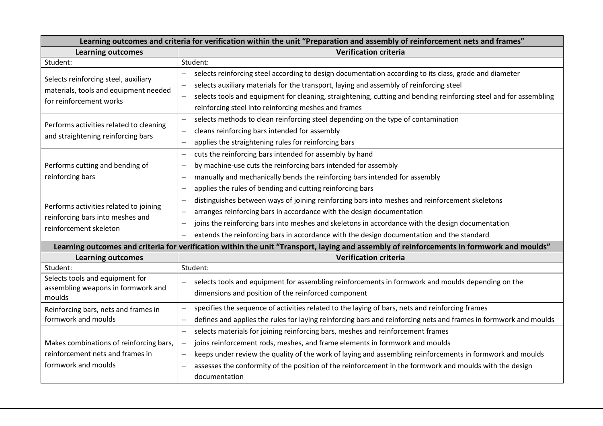| Learning outcomes and criteria for verification within the unit "Preparation and assembly of reinforcement nets and frames"               |                                                                                                                                               |  |
|-------------------------------------------------------------------------------------------------------------------------------------------|-----------------------------------------------------------------------------------------------------------------------------------------------|--|
| <b>Learning outcomes</b>                                                                                                                  | <b>Verification criteria</b>                                                                                                                  |  |
| Student:                                                                                                                                  | Student:                                                                                                                                      |  |
| Selects reinforcing steel, auxiliary<br>materials, tools and equipment needed<br>for reinforcement works                                  | selects reinforcing steel according to design documentation according to its class, grade and diameter<br>$\overline{\phantom{0}}$            |  |
|                                                                                                                                           | selects auxiliary materials for the transport, laying and assembly of reinforcing steel<br>$\overline{\phantom{0}}$                           |  |
|                                                                                                                                           | selects tools and equipment for cleaning, straightening, cutting and bending reinforcing steel and for assembling<br>$\overline{\phantom{0}}$ |  |
|                                                                                                                                           | reinforcing steel into reinforcing meshes and frames                                                                                          |  |
| Performs activities related to cleaning<br>and straightening reinforcing bars                                                             | selects methods to clean reinforcing steel depending on the type of contamination<br>$\overline{\phantom{0}}$                                 |  |
|                                                                                                                                           | cleans reinforcing bars intended for assembly<br>$\overline{\phantom{0}}$                                                                     |  |
|                                                                                                                                           | applies the straightening rules for reinforcing bars<br>—                                                                                     |  |
| Performs cutting and bending of                                                                                                           | cuts the reinforcing bars intended for assembly by hand<br>—                                                                                  |  |
|                                                                                                                                           | by machine-use cuts the reinforcing bars intended for assembly<br>$\overline{\phantom{0}}$                                                    |  |
| reinforcing bars                                                                                                                          | manually and mechanically bends the reinforcing bars intended for assembly<br>$\overline{\phantom{0}}$                                        |  |
|                                                                                                                                           | applies the rules of bending and cutting reinforcing bars<br>$\overline{\phantom{0}}$                                                         |  |
|                                                                                                                                           | distinguishes between ways of joining reinforcing bars into meshes and reinforcement skeletons<br>$\overline{\phantom{0}}$                    |  |
| Performs activities related to joining                                                                                                    | arranges reinforcing bars in accordance with the design documentation<br>$\overline{\phantom{0}}$                                             |  |
| reinforcing bars into meshes and<br>reinforcement skeleton                                                                                | joins the reinforcing bars into meshes and skeletons in accordance with the design documentation<br>$\overline{\phantom{0}}$                  |  |
|                                                                                                                                           | extends the reinforcing bars in accordance with the design documentation and the standard<br>$\overline{\phantom{0}}$                         |  |
| Learning outcomes and criteria for verification within the unit "Transport, laying and assembly of reinforcements in formwork and moulds" |                                                                                                                                               |  |
| <b>Learning outcomes</b>                                                                                                                  | <b>Verification criteria</b>                                                                                                                  |  |
| Student:                                                                                                                                  | Student:                                                                                                                                      |  |
| Selects tools and equipment for                                                                                                           | selects tools and equipment for assembling reinforcements in formwork and moulds depending on the                                             |  |
| assembling weapons in formwork and                                                                                                        | dimensions and position of the reinforced component                                                                                           |  |
| moulds                                                                                                                                    | specifies the sequence of activities related to the laying of bars, nets and reinforcing frames<br>$\overline{\phantom{0}}$                   |  |
| Reinforcing bars, nets and frames in<br>formwork and moulds                                                                               |                                                                                                                                               |  |
|                                                                                                                                           | defines and applies the rules for laying reinforcing bars and reinforcing nets and frames in formwork and moulds<br>$\overline{\phantom{0}}$  |  |
|                                                                                                                                           | selects materials for joining reinforcing bars, meshes and reinforcement frames<br>$\overline{\phantom{0}}$                                   |  |
| Makes combinations of reinforcing bars,                                                                                                   | joins reinforcement rods, meshes, and frame elements in formwork and moulds<br>—                                                              |  |
| reinforcement nets and frames in                                                                                                          | keeps under review the quality of the work of laying and assembling reinforcements in formwork and moulds<br>$\overline{\phantom{0}}$         |  |
| formwork and moulds                                                                                                                       | assesses the conformity of the position of the reinforcement in the formwork and moulds with the design<br>—                                  |  |
|                                                                                                                                           | documentation                                                                                                                                 |  |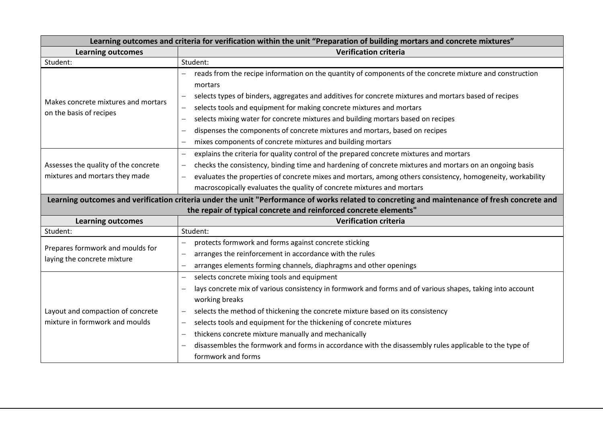| Learning outcomes and criteria for verification within the unit "Preparation of building mortars and concrete mixtures" |                                                                                                                                              |  |
|-------------------------------------------------------------------------------------------------------------------------|----------------------------------------------------------------------------------------------------------------------------------------------|--|
| <b>Learning outcomes</b>                                                                                                | <b>Verification criteria</b>                                                                                                                 |  |
| Student:                                                                                                                | Student:                                                                                                                                     |  |
| Makes concrete mixtures and mortars<br>on the basis of recipes                                                          | reads from the recipe information on the quantity of components of the concrete mixture and construction                                     |  |
|                                                                                                                         | mortars                                                                                                                                      |  |
|                                                                                                                         | selects types of binders, aggregates and additives for concrete mixtures and mortars based of recipes                                        |  |
|                                                                                                                         | selects tools and equipment for making concrete mixtures and mortars<br>$\qquad \qquad -$                                                    |  |
|                                                                                                                         | selects mixing water for concrete mixtures and building mortars based on recipes<br>$\qquad \qquad -$                                        |  |
|                                                                                                                         | dispenses the components of concrete mixtures and mortars, based on recipes                                                                  |  |
|                                                                                                                         | mixes components of concrete mixtures and building mortars<br>$\qquad \qquad -$                                                              |  |
|                                                                                                                         | explains the criteria for quality control of the prepared concrete mixtures and mortars<br>$\overline{\phantom{m}}$                          |  |
| Assesses the quality of the concrete                                                                                    | checks the consistency, binding time and hardening of concrete mixtures and mortars on an ongoing basis<br>$\overline{\phantom{0}}$          |  |
| mixtures and mortars they made                                                                                          | evaluates the properties of concrete mixes and mortars, among others consistency, homogeneity, workability                                   |  |
|                                                                                                                         | macroscopically evaluates the quality of concrete mixtures and mortars                                                                       |  |
|                                                                                                                         | Learning outcomes and verification criteria under the unit "Performance of works related to concreting and maintenance of fresh concrete and |  |
|                                                                                                                         | the repair of typical concrete and reinforced concrete elements"                                                                             |  |
| <b>Learning outcomes</b>                                                                                                | <b>Verification criteria</b>                                                                                                                 |  |
| Student:                                                                                                                | Student:                                                                                                                                     |  |
| Prepares formwork and moulds for                                                                                        | protects formwork and forms against concrete sticking<br>$\overline{\phantom{0}}$                                                            |  |
| laying the concrete mixture                                                                                             | arranges the reinforcement in accordance with the rules<br>$\overline{\phantom{m}}$                                                          |  |
|                                                                                                                         | arranges elements forming channels, diaphragms and other openings<br>$\overline{\phantom{0}}$                                                |  |
|                                                                                                                         | selects concrete mixing tools and equipment<br>$\overline{\phantom{0}}$                                                                      |  |
|                                                                                                                         | lays concrete mix of various consistency in formwork and forms and of various shapes, taking into account<br>$\overline{\phantom{m}}$        |  |
| Layout and compaction of concrete<br>mixture in formwork and moulds                                                     | working breaks                                                                                                                               |  |
|                                                                                                                         | selects the method of thickening the concrete mixture based on its consistency<br>$\qquad \qquad -$                                          |  |
|                                                                                                                         | selects tools and equipment for the thickening of concrete mixtures<br>$\overline{\phantom{0}}$                                              |  |
|                                                                                                                         | thickens concrete mixture manually and mechanically<br>$\overline{\phantom{0}}$                                                              |  |
|                                                                                                                         | disassembles the formwork and forms in accordance with the disassembly rules applicable to the type of                                       |  |
|                                                                                                                         | formwork and forms                                                                                                                           |  |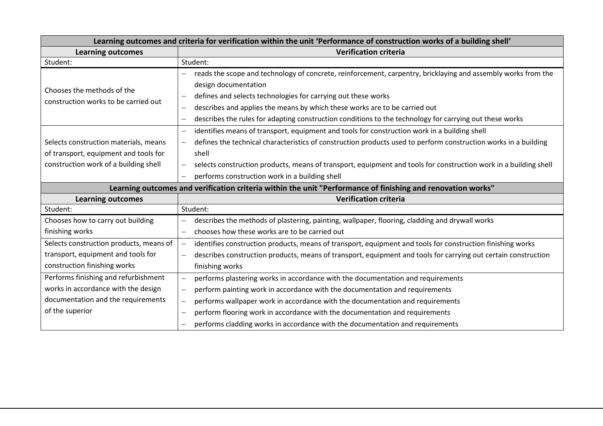| Learning outcomes and criteria for verification within the unit 'Performance of construction works of a building shell' |                                                                                                                                              |  |
|-------------------------------------------------------------------------------------------------------------------------|----------------------------------------------------------------------------------------------------------------------------------------------|--|
| <b>Learning outcomes</b>                                                                                                | <b>Verification criteria</b>                                                                                                                 |  |
| Student:                                                                                                                | Student:                                                                                                                                     |  |
| Chooses the methods of the<br>construction works to be carried out                                                      | reads the scope and technology of concrete, reinforcement, carpentry, bricklaying and assembly works from the<br>design documentation        |  |
|                                                                                                                         | defines and selects technologies for carrying out these works<br>$\overline{\phantom{0}}$                                                    |  |
|                                                                                                                         | describes and applies the means by which these works are to be carried out<br>$\overline{\phantom{0}}$                                       |  |
|                                                                                                                         | describes the rules for adapting construction conditions to the technology for carrying out these works                                      |  |
|                                                                                                                         | identifies means of transport, equipment and tools for construction work in a building shell<br>$\overline{\phantom{0}}$                     |  |
| Selects construction materials, means                                                                                   | defines the technical characteristics of construction products used to perform construction works in a building<br>$\overline{\phantom{0}}$  |  |
| of transport, equipment and tools for                                                                                   | shell                                                                                                                                        |  |
| construction work of a building shell                                                                                   | selects construction products, means of transport, equipment and tools for construction work in a building shell<br>$\overline{\phantom{0}}$ |  |
|                                                                                                                         | performs construction work in a building shell                                                                                               |  |
| Learning outcomes and verification criteria within the unit "Performance of finishing and renovation works"             |                                                                                                                                              |  |
|                                                                                                                         |                                                                                                                                              |  |
| <b>Learning outcomes</b>                                                                                                | <b>Verification criteria</b>                                                                                                                 |  |
| Student:                                                                                                                | Student:                                                                                                                                     |  |
| Chooses how to carry out building                                                                                       | describes the methods of plastering, painting, wallpaper, flooring, cladding and drywall works<br>—                                          |  |
| finishing works                                                                                                         | chooses how these works are to be carried out<br>$\overline{\phantom{0}}$                                                                    |  |
| Selects construction products, means of                                                                                 | identifies construction products, means of transport, equipment and tools for construction finishing works<br>$\overline{\phantom{0}}$       |  |
| transport, equipment and tools for                                                                                      | describes construction products, means of transport, equipment and tools for carrying out certain construction<br>$\overline{\phantom{0}}$   |  |
| construction finishing works                                                                                            | finishing works                                                                                                                              |  |
| Performs finishing and refurbishment                                                                                    | performs plastering works in accordance with the documentation and requirements                                                              |  |
| works in accordance with the design                                                                                     | perform painting work in accordance with the documentation and requirements<br>$\qquad \qquad -$                                             |  |
| documentation and the requirements                                                                                      | performs wallpaper work in accordance with the documentation and requirements<br>$\overline{\phantom{0}}$                                    |  |
| of the superior                                                                                                         | perform flooring work in accordance with the documentation and requirements                                                                  |  |